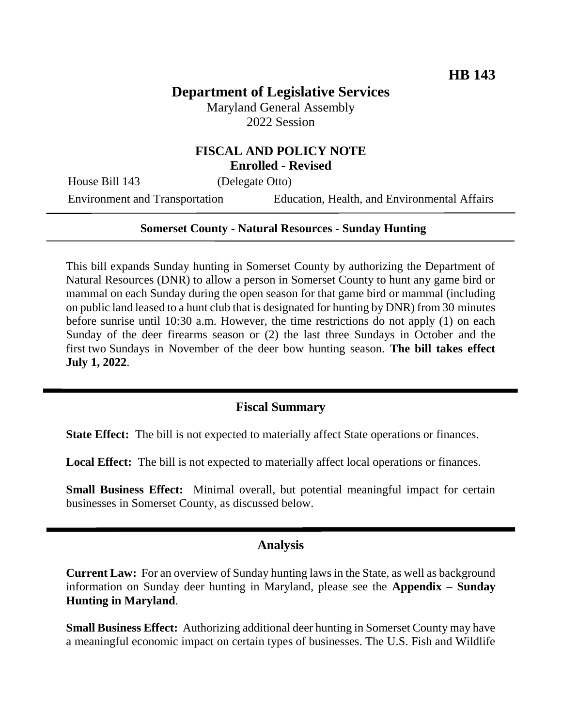# **Department of Legislative Services**

Maryland General Assembly 2022 Session

# **FISCAL AND POLICY NOTE Enrolled - Revised**

House Bill 143 (Delegate Otto)

Environment and Transportation Education, Health, and Environmental Affairs

#### **Somerset County - Natural Resources - Sunday Hunting**

This bill expands Sunday hunting in Somerset County by authorizing the Department of Natural Resources (DNR) to allow a person in Somerset County to hunt any game bird or mammal on each Sunday during the open season for that game bird or mammal (including on public land leased to a hunt club that is designated for hunting by DNR) from 30 minutes before sunrise until 10:30 a.m. However, the time restrictions do not apply (1) on each Sunday of the deer firearms season or (2) the last three Sundays in October and the first two Sundays in November of the deer bow hunting season. **The bill takes effect July 1, 2022**.

#### **Fiscal Summary**

**State Effect:** The bill is not expected to materially affect State operations or finances.

**Local Effect:** The bill is not expected to materially affect local operations or finances.

**Small Business Effect:** Minimal overall, but potential meaningful impact for certain businesses in Somerset County, as discussed below.

#### **Analysis**

**Current Law:** For an overview of Sunday hunting laws in the State, as well as background information on Sunday deer hunting in Maryland, please see the **Appendix – Sunday Hunting in Maryland**.

**Small Business Effect:** Authorizing additional deer hunting in Somerset County may have a meaningful economic impact on certain types of businesses. The U.S. Fish and Wildlife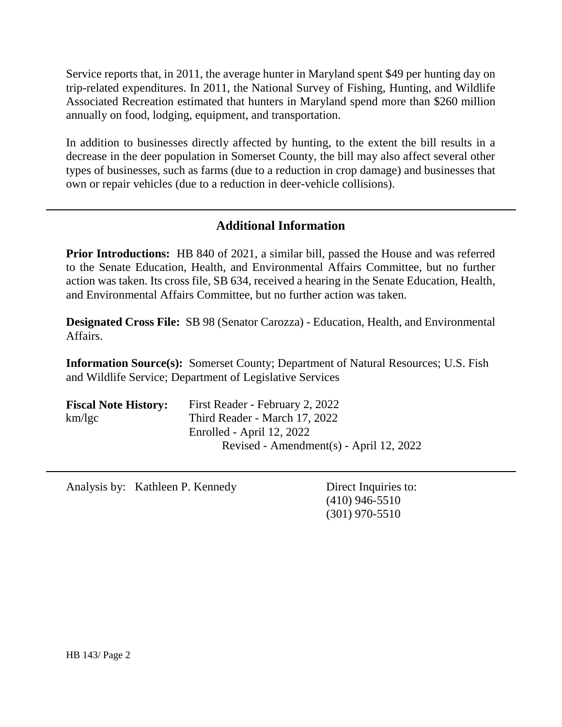Service reports that, in 2011, the average hunter in Maryland spent \$49 per hunting day on trip-related expenditures. In 2011, the National Survey of Fishing, Hunting, and Wildlife Associated Recreation estimated that hunters in Maryland spend more than \$260 million annually on food, lodging, equipment, and transportation.

In addition to businesses directly affected by hunting, to the extent the bill results in a decrease in the deer population in Somerset County, the bill may also affect several other types of businesses, such as farms (due to a reduction in crop damage) and businesses that own or repair vehicles (due to a reduction in deer-vehicle collisions).

# **Additional Information**

**Prior Introductions:** HB 840 of 2021, a similar bill, passed the House and was referred to the Senate Education, Health, and Environmental Affairs Committee, but no further action was taken. Its cross file, SB 634, received a hearing in the Senate Education, Health, and Environmental Affairs Committee, but no further action was taken.

**Designated Cross File:** SB 98 (Senator Carozza) - Education, Health, and Environmental Affairs.

**Information Source(s):** Somerset County; Department of Natural Resources; U.S. Fish and Wildlife Service; Department of Legislative Services

| <b>Fiscal Note History:</b> | First Reader - February 2, 2022         |
|-----------------------------|-----------------------------------------|
| km/kgc                      | Third Reader - March 17, 2022           |
|                             | Enrolled - April 12, 2022               |
|                             | Revised - Amendment(s) - April 12, 2022 |

Analysis by: Kathleen P. Kennedy Direct Inquiries to:

(410) 946-5510 (301) 970-5510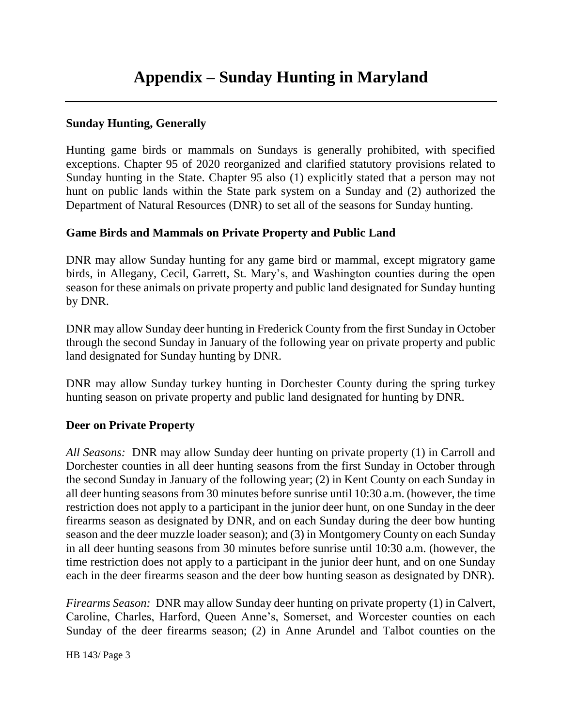# **Appendix – Sunday Hunting in Maryland**

### **Sunday Hunting, Generally**

Hunting game birds or mammals on Sundays is generally prohibited, with specified exceptions. Chapter 95 of 2020 reorganized and clarified statutory provisions related to Sunday hunting in the State. Chapter 95 also (1) explicitly stated that a person may not hunt on public lands within the State park system on a Sunday and (2) authorized the Department of Natural Resources (DNR) to set all of the seasons for Sunday hunting.

#### **Game Birds and Mammals on Private Property and Public Land**

DNR may allow Sunday hunting for any game bird or mammal, except migratory game birds, in Allegany, Cecil, Garrett, St. Mary's, and Washington counties during the open season for these animals on private property and public land designated for Sunday hunting by DNR.

DNR may allow Sunday deer hunting in Frederick County from the first Sunday in October through the second Sunday in January of the following year on private property and public land designated for Sunday hunting by DNR.

DNR may allow Sunday turkey hunting in Dorchester County during the spring turkey hunting season on private property and public land designated for hunting by DNR.

# **Deer on Private Property**

*All Seasons:* DNR may allow Sunday deer hunting on private property (1) in Carroll and Dorchester counties in all deer hunting seasons from the first Sunday in October through the second Sunday in January of the following year; (2) in Kent County on each Sunday in all deer hunting seasons from 30 minutes before sunrise until 10:30 a.m. (however, the time restriction does not apply to a participant in the junior deer hunt, on one Sunday in the deer firearms season as designated by DNR, and on each Sunday during the deer bow hunting season and the deer muzzle loader season); and (3) in Montgomery County on each Sunday in all deer hunting seasons from 30 minutes before sunrise until 10:30 a.m. (however, the time restriction does not apply to a participant in the junior deer hunt, and on one Sunday each in the deer firearms season and the deer bow hunting season as designated by DNR).

*Firearms Season:* DNR may allow Sunday deer hunting on private property (1) in Calvert, Caroline, Charles, Harford, Queen Anne's, Somerset, and Worcester counties on each Sunday of the deer firearms season; (2) in Anne Arundel and Talbot counties on the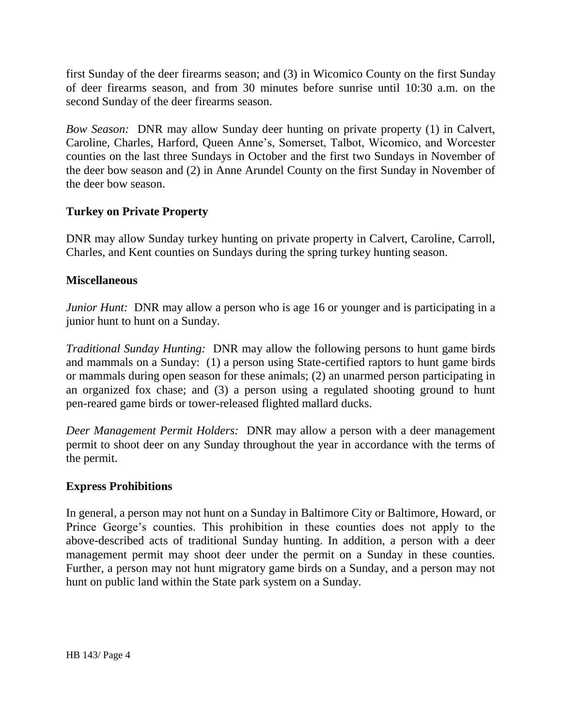first Sunday of the deer firearms season; and (3) in Wicomico County on the first Sunday of deer firearms season, and from 30 minutes before sunrise until 10:30 a.m. on the second Sunday of the deer firearms season.

*Bow Season:* DNR may allow Sunday deer hunting on private property (1) in Calvert, Caroline, Charles, Harford, Queen Anne's, Somerset, Talbot, Wicomico, and Worcester counties on the last three Sundays in October and the first two Sundays in November of the deer bow season and (2) in Anne Arundel County on the first Sunday in November of the deer bow season.

#### **Turkey on Private Property**

DNR may allow Sunday turkey hunting on private property in Calvert, Caroline, Carroll, Charles, and Kent counties on Sundays during the spring turkey hunting season.

#### **Miscellaneous**

*Junior Hunt:* DNR may allow a person who is age 16 or younger and is participating in a junior hunt to hunt on a Sunday.

*Traditional Sunday Hunting:* DNR may allow the following persons to hunt game birds and mammals on a Sunday: (1) a person using State-certified raptors to hunt game birds or mammals during open season for these animals; (2) an unarmed person participating in an organized fox chase; and (3) a person using a regulated shooting ground to hunt pen-reared game birds or tower-released flighted mallard ducks.

*Deer Management Permit Holders:* DNR may allow a person with a deer management permit to shoot deer on any Sunday throughout the year in accordance with the terms of the permit.

#### **Express Prohibitions**

In general, a person may not hunt on a Sunday in Baltimore City or Baltimore, Howard, or Prince George's counties. This prohibition in these counties does not apply to the above-described acts of traditional Sunday hunting. In addition, a person with a deer management permit may shoot deer under the permit on a Sunday in these counties. Further, a person may not hunt migratory game birds on a Sunday, and a person may not hunt on public land within the State park system on a Sunday.